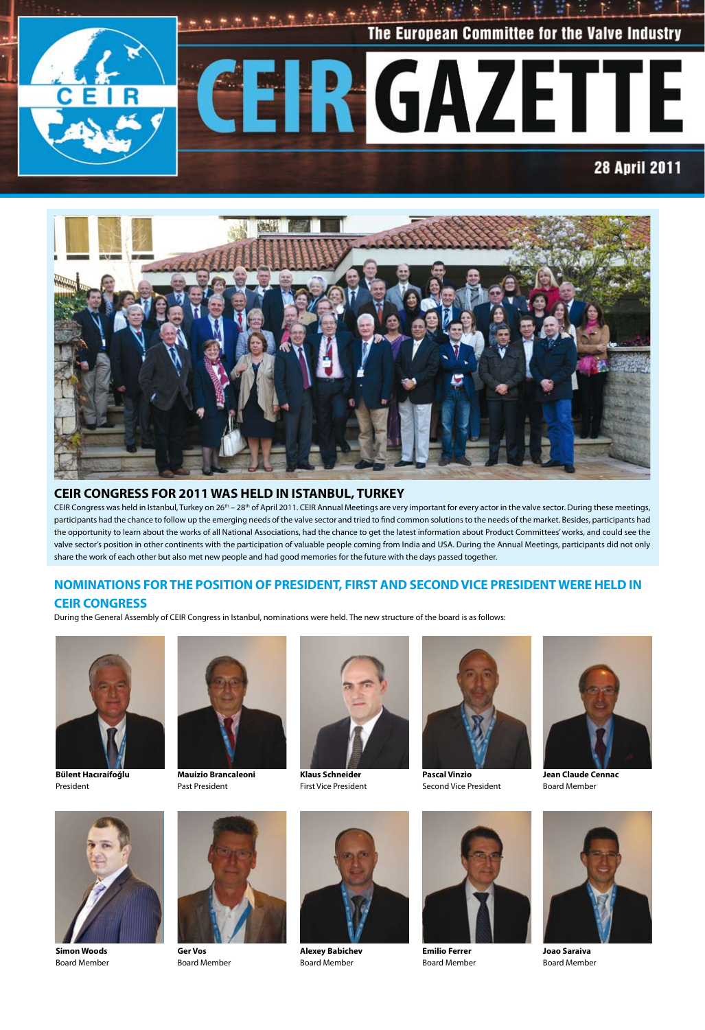



### **CEIR CONGRESS FOR 2011 WAS HELD IN ISTANBUL, TURKEY**

CEIR Congress was held in Istanbul, Turkey on 26<sup>th</sup> – 28<sup>th</sup> of April 2011. CEIR Annual Meetings are very important for every actor in the valve sector. During these meetings, participants had the chance to follow up the emerging needs of the valve sector and tried to find common solutions to the needs of the market. Besides, participants had the opportunity to learn about the works of all National Associations, had the chance to get the latest information about Product Committees' works, and could see the valve sector's position in other continents with the participation of valuable people coming from India and USA. During the Annual Meetings, participants did not only share the work of each other but also met new people and had good memories for the future with the days passed together.

### **NOMINATIONS FOR THE POSITION OF PRESIDENT, FIRST AND SECOND VICE PRESIDENT WERE HELD IN**

### **CEIR CONGRESS**

During the General Assembly of CEIR Congress in Istanbul, nominations were held. The new structure of the board is as follows:



**Bülent Hacıraifoğlu** President

**Simon Woods** Board Member



**Mauizio Brancaleoni** Past President



**Klaus Schneider** First Vice President



**Pascal Vinzio** Second Vice President





**Joao Saraiva** Board Member



**Ger Vos** Board Member



**Alexey Babichev** Board Member



**Emilio Ferrer** Board Member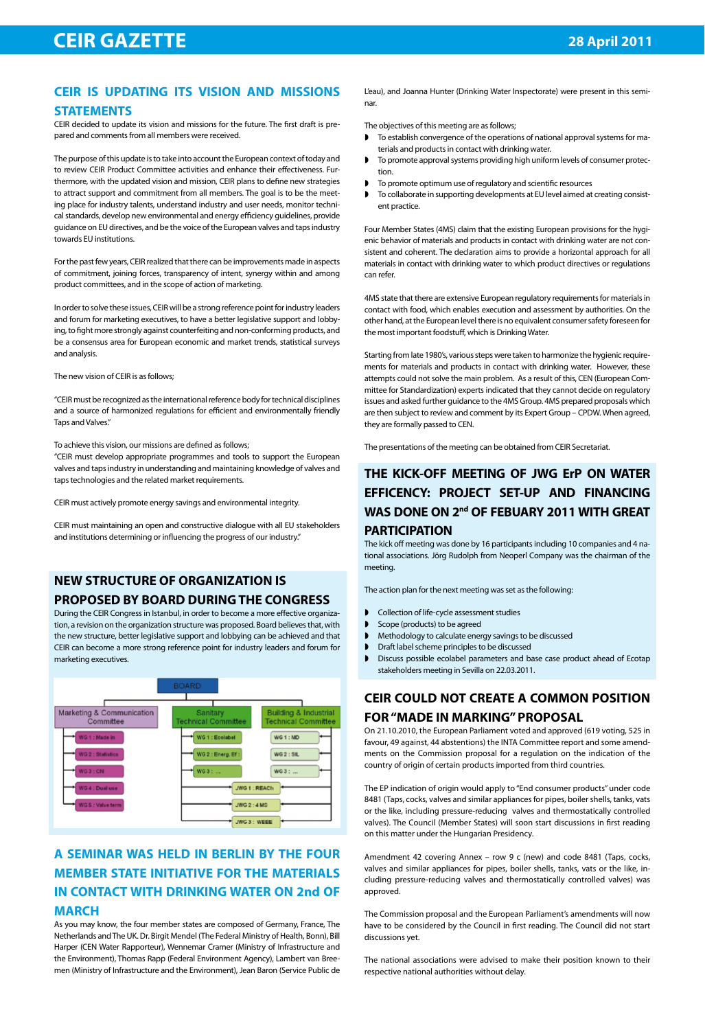### **CEIR IS UPDATING ITS VISION AND MISSIONS STATEMENTS**

CEIR decided to update its vision and missions for the future. The first draft is prepared and comments from all members were received.

The purpose of this update is to take into account the European context of today and to review CEIR Product Committee activities and enhance their effectiveness. Furthermore, with the updated vision and mission, CEIR plans to define new strategies to attract support and commitment from all members. The goal is to be the meeting place for industry talents, understand industry and user needs, monitor technical standards, develop new environmental and energy efficiency guidelines, provide guidance on EU directives, and be the voice of the European valves and taps industry towards EU institutions.

For the past few years, CEIR realized that there can be improvements made in aspects of commitment, joining forces, transparency of intent, synergy within and among product committees, and in the scope of action of marketing.

In order to solve these issues, CEIR will be a strong reference point for industry leaders and forum for marketing executives, to have a better legislative support and lobbying, to fight more strongly against counterfeiting and non-conforming products, and be a consensus area for European economic and market trends, statistical surveys and analysis.

The new vision of CEIR is as follows;

"CEIR must be recognized as the international reference body for technical disciplines and a source of harmonized regulations for efficient and environmentally friendly Taps and Valves."

### To achieve this vision, our missions are defined as follows;

"CEIR must develop appropriate programmes and tools to support the European valves and taps industry in understanding and maintaining knowledge of valves and taps technologies and the related market requirements.

CEIR must actively promote energy savings and environmental integrity.

CEIR must maintaining an open and constructive dialogue with all EU stakeholders and institutions determining or influencing the progress of our industry."

### **NEW STRUCTURE OF ORGANIZATION IS PROPOSED BY BOARD DURING THE CONGRESS**

During the CEIR Congress in Istanbul, in order to become a more effective organization, a revision on the organization structure was proposed. Board believes that, with the new structure, better legislative support and lobbying can be achieved and that CEIR can become a more strong reference point for industry leaders and forum for marketing executives.



# **A SEMINAR WAS HELD IN BERLIN BY THE FOUR MEMBER STATE INITIATIVE FOR THE MATERIALS IN CONTACT WITH DRINKING WATER ON 2nd OF MARCH**

As you may know, the four member states are composed of Germany, France, The Netherlands and The UK. Dr. Birgit Mendel (The Federal Ministry of Health, Bonn), Bill Harper (CEN Water Rapporteur), Wennemar Cramer (Ministry of Infrastructure and the Environment), Thomas Rapp (Federal Environment Agency), Lambert van Breemen (Ministry of Infrastructure and the Environment), Jean Baron (Service Public de

L'eau), and Joanna Hunter (Drinking Water Inspectorate) were present in this seminar.

The objectives of this meeting are as follows;

- To establish convergence of the operations of national approval systems for materials and products in contact with drinking water.
- **D** To promote approval systems providing high uniform levels of consumer protection.
- To promote optimum use of regulatory and scientific resources
- To collaborate in supporting developments at EU level aimed at creating consistent practice.

Four Member States (4MS) claim that the existing European provisions for the hygienic behavior of materials and products in contact with drinking water are not consistent and coherent. The declaration aims to provide a horizontal approach for all materials in contact with drinking water to which product directives or regulations can refer.

4MS state that there are extensive European regulatory requirements for materials in contact with food, which enables execution and assessment by authorities. On the other hand, at the European level there is no equivalent consumer safety foreseen for the most important foodstuff, which is Drinking Water.

Starting from late 1980's, various steps were taken to harmonize the hygienic requirements for materials and products in contact with drinking water. However, these attempts could not solve the main problem. As a result of this, CEN (European Committee for Standardization) experts indicated that they cannot decide on regulatory issues and asked further guidance to the 4MS Group. 4MS prepared proposals which are then subject to review and comment by its Expert Group – CPDW. When agreed, they are formally passed to CEN.

The presentations of the meeting can be obtained from CEIR Secretariat.

### **THE KICK-OFF MEETING OF JWG ErP ON WATER EFFICENCY: PROJECT SET-UP AND FINANCING WAS DONE ON 2nd OF FEBUARY 2011 WITH GREAT PARTICIPATION**

The kick off meeting was done by 16 participants including 10 companies and 4 national associations. Jörg Rudolph from Neoperl Company was the chairman of the meeting.

The action plan for the next meeting was set as the following:

- **D** Collection of life-cycle assessment studies
- Scope (products) to be agreed
- $\blacktriangleright$  Methodology to calculate energy savings to be discussed
- **D** Draft label scheme principles to be discussed
- Discuss possible ecolabel parameters and base case product ahead of Ecotap stakeholders meeting in Sevilla on 22.03.2011.

# **CEIR COULD NOT CREATE A COMMON POSITION FOR "MADE IN MARKING" PROPOSAL**

On 21.10.2010, the European Parliament voted and approved (619 voting, 525 in favour, 49 against, 44 abstentions) the INTA Committee report and some amendments on the Commission proposal for a regulation on the indication of the country of origin of certain products imported from third countries.

The EP indication of origin would apply to "End consumer products" under code 8481 (Taps, cocks, valves and similar appliances for pipes, boiler shells, tanks, vats or the like, including pressure-reducing valves and thermostatically controlled valves). The Council (Member States) will soon start discussions in first reading on this matter under the Hungarian Presidency.

Amendment 42 covering Annex – row 9 c (new) and code 8481 (Taps, cocks, valves and similar appliances for pipes, boiler shells, tanks, vats or the like, including pressure-reducing valves and thermostatically controlled valves) was approved.

The Commission proposal and the European Parliament's amendments will now have to be considered by the Council in first reading. The Council did not start discussions yet.

The national associations were advised to make their position known to their respective national authorities without delay.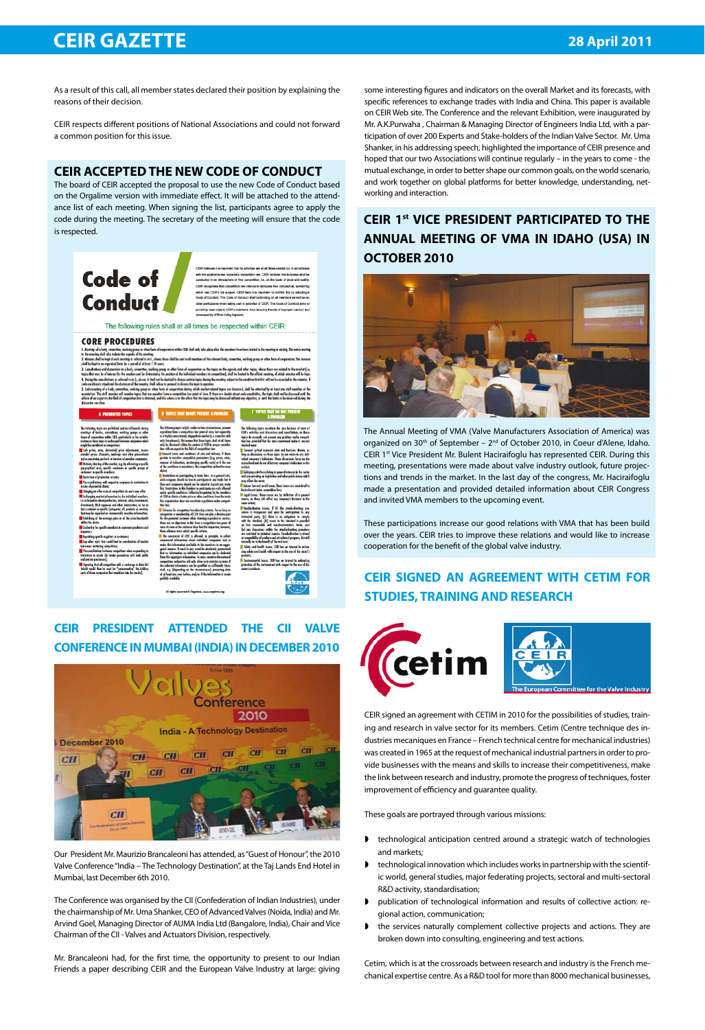# **CEIR GAZETTE 28 April 2011**

As a result of this call, all member states declared their position by explaining the reasons of their decision.

CEIR respects different positions of National Associations and could not forward a common position for this issue.

### **CEIR ACCEPTED THE NEW CODE OF CONDUCT**

The board of CEIR accepted the proposal to use the new Code of Conduct based on the Orgalime version with immediate effect. It will be attached to the attendance list of each meeting. When signing the list, participants agree to apply the code during the meeting. The secretary of the meeting will ensure that the code is respected.



## **CEIR PRESIDENT ATTENDED THE CII VALVE CONFERENCE IN MUMBAI (INDIA) IN DECEMBER 2010**



Our President Mr. Maurizio Brancaleoni has attended, as "Guest of Honour", the 2010 Valve Conference "India – The Technology Destination", at the Taj Lands End Hotel in Mumbai, last December 6th 2010.

The Conference was organised by the CII (Confederation of Indian Industries), under the chairmanship of Mr. Uma Shanker, CEO of Advanced Valves (Noida, India) and Mr. Arvind Goel, Managing Director of AUMA India Ltd (Bangalore, India), Chair and Vice Chairman of the CII - Valves and Actuators Division, respectively.

Mr. Brancaleoni had, for the first time, the opportunity to present to our Indian Friends a paper describing CEIR and the European Valve Industry at large: giving

some interesting figures and indicators on the overall Market and its forecasts, with specific references to exchange trades with India and China. This paper is available on CEIR Web site. The Conference and the relevant Exhibition, were inaugurated by Mr. A.K.Purwaha , Chairman & Managing Director of Engineers India Ltd, with a participation of over 200 Experts and Stake-holders of the Indian Valve Sector. Mr. Uma Shanker, in his addressing speech, highlighted the importance of CEIR presence and hoped that our two Associations will continue regularly – in the years to come - the mutual exchange, in order to better shape our common goals, on the world scenario, and work together on global platforms for better knowledge, understanding, networking and interaction.

# **CEIR 1st VICE PRESIDENT PARTICIPATED TO THE ANNUAL MEETING OF VMA IN IDAHO (USA) IN OCTOBER 2010**



The Annual Meeting of VMA (Valve Manufacturers Association of America) was organized on 30<sup>th</sup> of September – 2<sup>nd</sup> of October 2010, in Coeur d'Alene, Idaho. CEIR 1<sup>st</sup> Vice President Mr. Bulent Haciraifoglu has represented CEIR. During this meeting, presentations were made about valve industry outlook, future projections and trends in the market. In the last day of the congress, Mr. Haciraifoglu made a presentation and provided detailed information about CEIR Congress and invited VMA members to the upcoming event.

These participations increase our good relations with VMA that has been build over the years. CEIR tries to improve these relations and would like to increase cooperation for the benefit of the global valve industry.

# **CEIR SIGNED AN AGREEMENT WITH CETIM FOR STUDIES, TRAINING AND RESEARCH**



CEIR signed an agreement with CETIM in 2010 for the possibilities of studies, training and research in valve sector for its members. Cetim (Centre technique des industries mecaniques en France – French technical centre for mechanical industries) was created in 1965 at the request of mechanical industrial partners in order to provide businesses with the means and skills to increase their competitiveness, make the link between research and industry, promote the progress of techniques, foster improvement of efficiency and guarantee quality.

These goals are portrayed through various missions:

- **D** technological anticipation centred around a strategic watch of technologies and markets;
- $\blacktriangleright$  technological innovation which includes works in partnership with the scientific world, general studies, major federating projects, sectoral and multi-sectoral R&D activity, standardisation;
- w publication of technological information and results of collective action: regional action, communication;
- I the services naturally complement collective projects and actions. They are broken down into consulting, engineering and test actions.

Cetim, which is at the crossroads between research and industry is the French mechanical expertise centre. As a R&D tool for more than 8000 mechanical businesses,